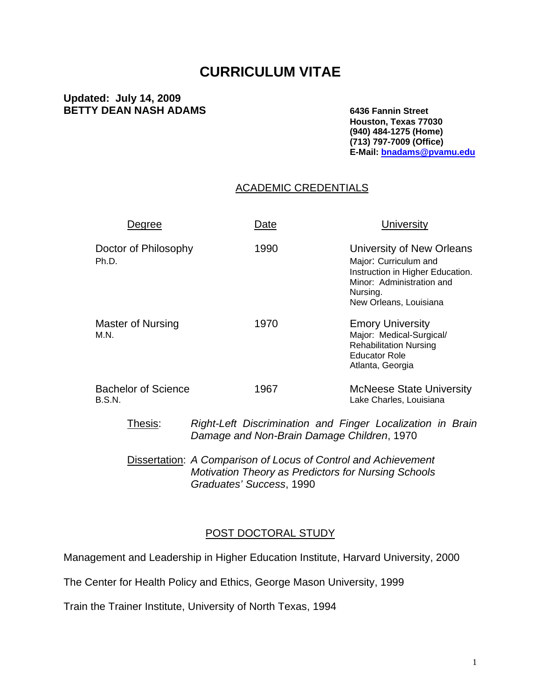# **CURRICULUM VITAE**

#### **Updated: July 14, 2009 BETTY DEAN NASH ADAMS** 6436 Fannin Street

 **Houston, Texas 77030 (940) 484-1275 (Home) (713) 797-7009 (Office) E-Mail: [bnadams@pvamu.edu](mailto:bnadams@pvamu.edu)**

#### ACADEMIC CREDENTIALS

| Degree                               | Date                                       | <b>University</b>                                                                                                                                         |
|--------------------------------------|--------------------------------------------|-----------------------------------------------------------------------------------------------------------------------------------------------------------|
| Doctor of Philosophy<br>Ph.D.        | 1990                                       | University of New Orleans<br>Major: Curriculum and<br>Instruction in Higher Education.<br>Minor: Administration and<br>Nursing.<br>New Orleans, Louisiana |
| Master of Nursing<br>M.N.            | 1970                                       | <b>Emory University</b><br>Major: Medical-Surgical/<br><b>Rehabilitation Nursing</b><br><b>Educator Role</b><br>Atlanta, Georgia                          |
| <b>Bachelor of Science</b><br>B.S.N. | 1967                                       | <b>McNeese State University</b><br>Lake Charles, Louisiana                                                                                                |
| Thesis:                              | Damage and Non-Brain Damage Children, 1970 | Right-Left Discrimination and Finger Localization in Brain                                                                                                |

Dissertation: *A Comparison of Locus of Control and Achievement Motivation Theory as Predictors for Nursing Schools Graduates' Success*, 1990

#### POST DOCTORAL STUDY

Management and Leadership in Higher Education Institute, Harvard University, 2000

The Center for Health Policy and Ethics, George Mason University, 1999

Train the Trainer Institute, University of North Texas, 1994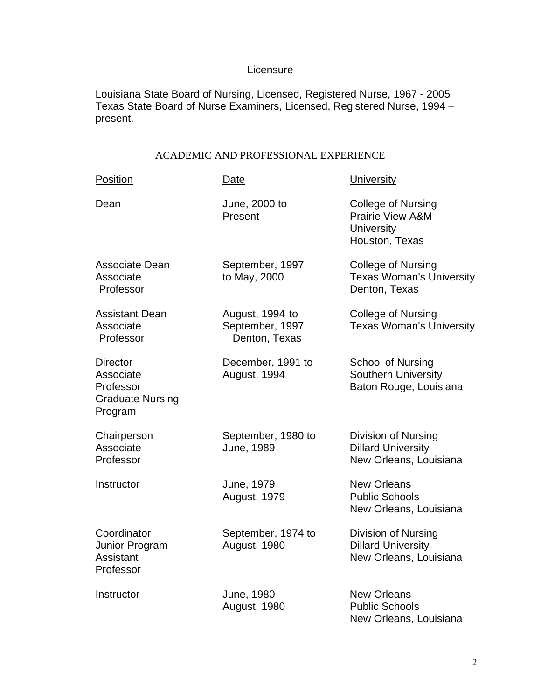# **Licensure**

Louisiana State Board of Nursing, Licensed, Registered Nurse, 1967 - 2005 Texas State Board of Nurse Examiners, Licensed, Registered Nurse, 1994 – present.

#### ACADEMIC AND PROFESSIONAL EXPERIENCE

| Position                                                                        | <b>Date</b>                                         | <b>University</b>                                                                        |
|---------------------------------------------------------------------------------|-----------------------------------------------------|------------------------------------------------------------------------------------------|
| Dean                                                                            | June, 2000 to<br>Present                            | College of Nursing<br><b>Prairie View A&amp;M</b><br><b>University</b><br>Houston, Texas |
| Associate Dean<br>Associate<br>Professor                                        | September, 1997<br>to May, 2000                     | <b>College of Nursing</b><br><b>Texas Woman's University</b><br>Denton, Texas            |
| <b>Assistant Dean</b><br>Associate<br>Professor                                 | August, 1994 to<br>September, 1997<br>Denton, Texas | <b>College of Nursing</b><br><b>Texas Woman's University</b>                             |
| <b>Director</b><br>Associate<br>Professor<br><b>Graduate Nursing</b><br>Program | December, 1991 to<br>August, 1994                   | <b>School of Nursing</b><br>Southern University<br>Baton Rouge, Louisiana                |
| Chairperson<br>Associate<br>Professor                                           | September, 1980 to<br>June, 1989                    | Division of Nursing<br><b>Dillard University</b><br>New Orleans, Louisiana               |
| Instructor                                                                      | June, 1979<br><b>August, 1979</b>                   | <b>New Orleans</b><br><b>Public Schools</b><br>New Orleans, Louisiana                    |
| Coordinator<br>Junior Program<br>Assistant<br>Professor                         | September, 1974 to<br>August, 1980                  | Division of Nursing<br><b>Dillard University</b><br>New Orleans, Louisiana               |
| Instructor                                                                      | June, 1980<br>August, 1980                          | <b>New Orleans</b><br><b>Public Schools</b><br>New Orleans, Louisiana                    |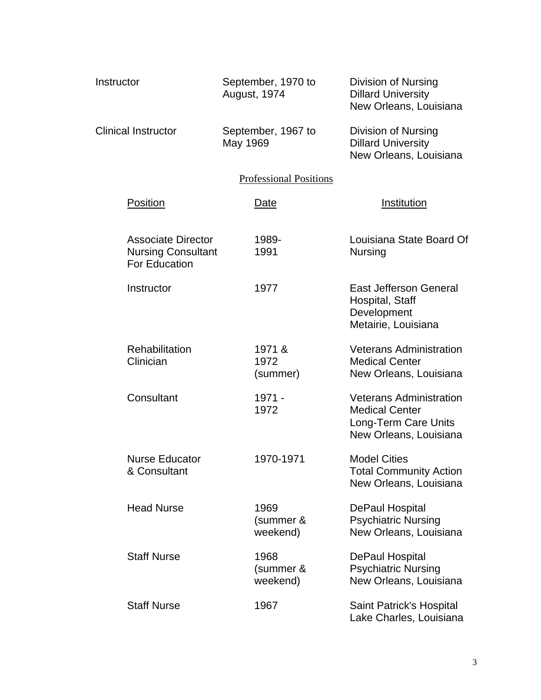| Instructor                                                              | September, 1970 to<br><b>August, 1974</b> | <b>Division of Nursing</b><br><b>Dillard University</b><br>New Orleans, Louisiana                         |
|-------------------------------------------------------------------------|-------------------------------------------|-----------------------------------------------------------------------------------------------------------|
| <b>Clinical Instructor</b>                                              | September, 1967 to<br>May 1969            | Division of Nursing<br><b>Dillard University</b><br>New Orleans, Louisiana                                |
|                                                                         | <b>Professional Positions</b>             |                                                                                                           |
| Position                                                                | Date                                      | Institution                                                                                               |
| <b>Associate Director</b><br><b>Nursing Consultant</b><br>For Education | 1989-<br>1991                             | Louisiana State Board Of<br><b>Nursing</b>                                                                |
| Instructor                                                              | 1977                                      | <b>East Jefferson General</b><br>Hospital, Staff<br>Development<br>Metairie, Louisiana                    |
| Rehabilitation<br>Clinician                                             | 1971 &<br>1972<br>(summer)                | <b>Veterans Administration</b><br><b>Medical Center</b><br>New Orleans, Louisiana                         |
| Consultant                                                              | 1971 -<br>1972                            | <b>Veterans Administration</b><br><b>Medical Center</b><br>Long-Term Care Units<br>New Orleans, Louisiana |
| <b>Nurse Educator</b><br>& Consultant                                   | 1970-1971                                 | <b>Model Cities</b><br><b>Total Community Action</b><br>New Orleans, Louisiana                            |
| <b>Head Nurse</b>                                                       | 1969<br>(summer &<br>weekend)             | <b>DePaul Hospital</b><br><b>Psychiatric Nursing</b><br>New Orleans, Louisiana                            |
| <b>Staff Nurse</b>                                                      | 1968<br>(summer &<br>weekend)             | <b>DePaul Hospital</b><br><b>Psychiatric Nursing</b><br>New Orleans, Louisiana                            |
| <b>Staff Nurse</b>                                                      | 1967                                      | Saint Patrick's Hospital<br>Lake Charles, Louisiana                                                       |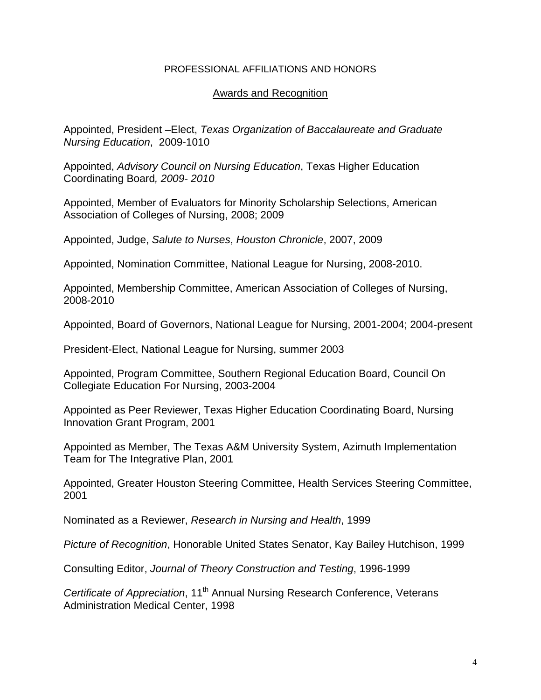#### PROFESSIONAL AFFILIATIONS AND HONORS

#### Awards and Recognition

Appointed, President –Elect, *Texas Organization of Baccalaureate and Graduate Nursing Education*, 2009-1010

Appointed, *Advisory Council on Nursing Education*, Texas Higher Education Coordinating Board*, 2009- 2010* 

Appointed, Member of Evaluators for Minority Scholarship Selections, American Association of Colleges of Nursing, 2008; 2009

Appointed, Judge, *Salute to Nurses*, *Houston Chronicle*, 2007, 2009

Appointed, Nomination Committee, National League for Nursing, 2008-2010.

Appointed, Membership Committee, American Association of Colleges of Nursing, 2008-2010

Appointed, Board of Governors, National League for Nursing, 2001-2004; 2004-present

President-Elect, National League for Nursing, summer 2003

Appointed, Program Committee, Southern Regional Education Board, Council On Collegiate Education For Nursing, 2003-2004

Appointed as Peer Reviewer, Texas Higher Education Coordinating Board, Nursing Innovation Grant Program, 2001

Appointed as Member, The Texas A&M University System, Azimuth Implementation Team for The Integrative Plan, 2001

Appointed, Greater Houston Steering Committee, Health Services Steering Committee, 2001

Nominated as a Reviewer, *Research in Nursing and Health*, 1999

*Picture of Recognition*, Honorable United States Senator, Kay Bailey Hutchison, 1999

Consulting Editor, *Journal of Theory Construction and Testing*, 1996-1999

*Certificate of Appreciation*, 11<sup>th</sup> Annual Nursing Research Conference, Veterans Administration Medical Center, 1998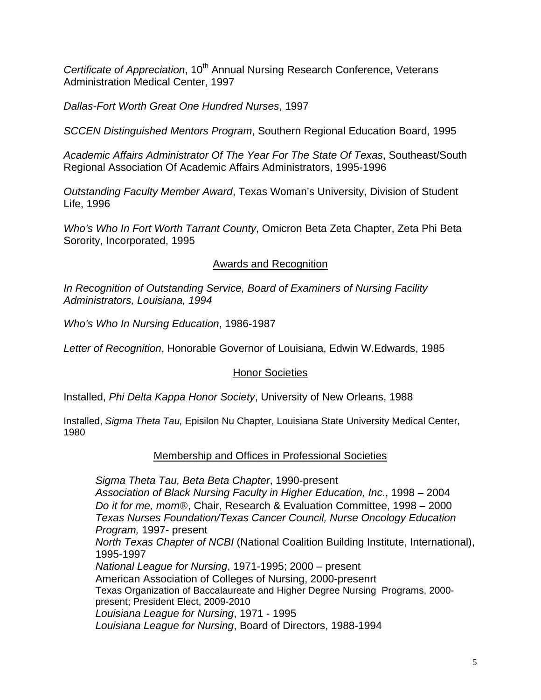*Certificate of Appreciation*, 10<sup>th</sup> Annual Nursing Research Conference, Veterans Administration Medical Center, 1997

*Dallas-Fort Worth Great One Hundred Nurses*, 1997

*SCCEN Distinguished Mentors Program*, Southern Regional Education Board, 1995

*Academic Affairs Administrator Of The Year For The State Of Texas*, Southeast/South Regional Association Of Academic Affairs Administrators, 1995-1996

*Outstanding Faculty Member Award*, Texas Woman's University, Division of Student Life, 1996

*Who's Who In Fort Worth Tarrant County*, Omicron Beta Zeta Chapter, Zeta Phi Beta Sorority, Incorporated, 1995

Awards and Recognition

*In Recognition of Outstanding Service, Board of Examiners of Nursing Facility Administrators, Louisiana, 1994* 

*Who's Who In Nursing Education*, 1986-1987

*Letter of Recognition*, Honorable Governor of Louisiana, Edwin W.Edwards, 1985

#### Honor Societies

Installed, *Phi Delta Kappa Honor Society*, University of New Orleans, 1988

Installed, *Sigma Theta Tau,* Episilon Nu Chapter, Louisiana State University Medical Center, 1980

# Membership and Offices in Professional Societies

*Sigma Theta Tau, Beta Beta Chapter*, 1990-present *Association of Black Nursing Faculty in Higher Education, Inc*., 1998 – 2004 *Do it for me, mom*®, Chair, Research & Evaluation Committee, 1998 – 2000 *Texas Nurses Foundation/Texas Cancer Council, Nurse Oncology Education Program,* 1997- present *North Texas Chapter of NCBI* (National Coalition Building Institute, International), 1995-1997 *National League for Nursing*, 1971-1995; 2000 – present American Association of Colleges of Nursing, 2000-presenrt Texas Organization of Baccalaureate and Higher Degree Nursing Programs, 2000 present; President Elect, 2009-2010 *Louisiana League for Nursing*, 1971 - 1995 *Louisiana League for Nursing*, Board of Directors, 1988-1994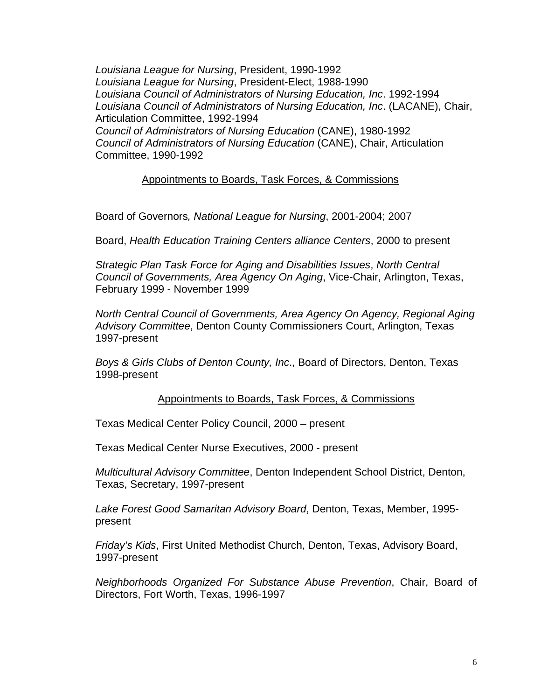*Louisiana League for Nursing*, President, 1990-1992 *Louisiana League for Nursing*, President-Elect, 1988-1990 *Louisiana Council of Administrators of Nursing Education, Inc*. 1992-1994 *Louisiana Council of Administrators of Nursing Education, Inc*. (LACANE), Chair, Articulation Committee, 1992-1994 *Council of Administrators of Nursing Education* (CANE), 1980-1992 *Council of Administrators of Nursing Education* (CANE), Chair, Articulation Committee, 1990-1992

Appointments to Boards, Task Forces, & Commissions

Board of Governors*, National League for Nursing*, 2001-2004; 2007

Board, *Health Education Training Centers alliance Centers*, 2000 to present

*Strategic Plan Task Force for Aging and Disabilities Issues*, *North Central Council of Governments, Area Agency On Aging*, Vice-Chair, Arlington, Texas, February 1999 - November 1999

*North Central Council of Governments, Area Agency On Agency, Regional Aging Advisory Committee*, Denton County Commissioners Court, Arlington, Texas 1997-present

*Boys & Girls Clubs of Denton County, Inc*., Board of Directors, Denton, Texas 1998-present

#### Appointments to Boards, Task Forces, & Commissions

Texas Medical Center Policy Council, 2000 – present

Texas Medical Center Nurse Executives, 2000 - present

*Multicultural Advisory Committee*, Denton Independent School District, Denton, Texas, Secretary, 1997-present

*Lake Forest Good Samaritan Advisory Board*, Denton, Texas, Member, 1995 present

*Friday's Kids*, First United Methodist Church, Denton, Texas, Advisory Board, 1997-present

*Neighborhoods Organized For Substance Abuse Prevention*, Chair, Board of Directors, Fort Worth, Texas, 1996-1997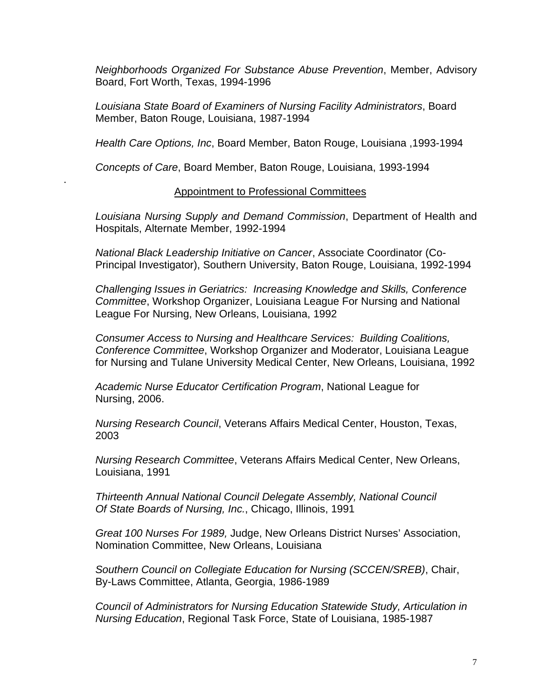*Neighborhoods Organized For Substance Abuse Prevention*, Member, Advisory Board, Fort Worth, Texas, 1994-1996

*Louisiana State Board of Examiners of Nursing Facility Administrators*, Board Member, Baton Rouge, Louisiana, 1987-1994

*Health Care Options, Inc*, Board Member, Baton Rouge, Louisiana ,1993-1994

*Concepts of Care*, Board Member, Baton Rouge, Louisiana, 1993-1994

.

#### Appointment to Professional Committees

*Louisiana Nursing Supply and Demand Commission*, Department of Health and Hospitals, Alternate Member, 1992-1994

*National Black Leadership Initiative on Cancer*, Associate Coordinator (Co-Principal Investigator), Southern University, Baton Rouge, Louisiana, 1992-1994

*Challenging Issues in Geriatrics: Increasing Knowledge and Skills, Conference Committee*, Workshop Organizer, Louisiana League For Nursing and National League For Nursing, New Orleans, Louisiana, 1992

*Consumer Access to Nursing and Healthcare Services: Building Coalitions, Conference Committee*, Workshop Organizer and Moderator, Louisiana League for Nursing and Tulane University Medical Center, New Orleans, Louisiana, 1992

 *Academic Nurse Educator Certification Program*, National League for Nursing, 2006.

 *Nursing Research Council*, Veterans Affairs Medical Center, Houston, Texas, 2003

*Nursing Research Committee*, Veterans Affairs Medical Center, New Orleans, Louisiana, 1991

*Thirteenth Annual National Council Delegate Assembly, National Council Of State Boards of Nursing, Inc.*, Chicago, Illinois, 1991

*Great 100 Nurses For 1989,* Judge, New Orleans District Nurses' Association, Nomination Committee, New Orleans, Louisiana

*Southern Council on Collegiate Education for Nursing (SCCEN/SREB)*, Chair, By-Laws Committee, Atlanta, Georgia, 1986-1989

*Council of Administrators for Nursing Education Statewide Study, Articulation in Nursing Education*, Regional Task Force, State of Louisiana, 1985-1987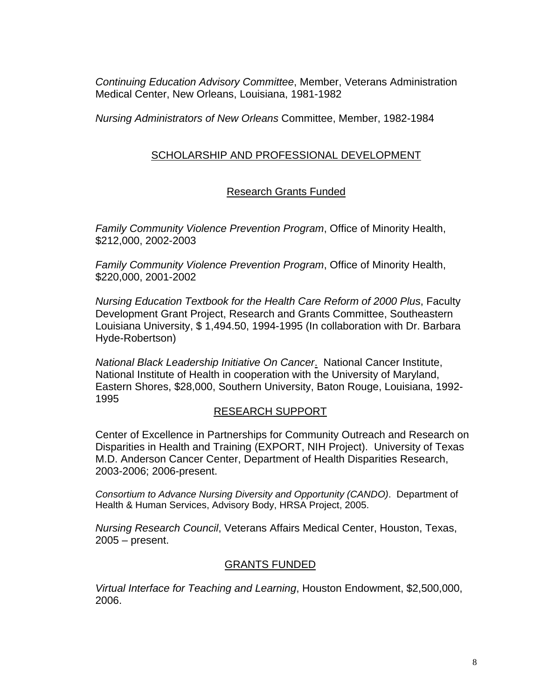*Continuing Education Advisory Committee*, Member, Veterans Administration Medical Center, New Orleans, Louisiana, 1981-1982

*Nursing Administrators of New Orleans* Committee, Member, 1982-1984

# SCHOLARSHIP AND PROFESSIONAL DEVELOPMENT

# Research Grants Funded

*Family Community Violence Prevention Program*, Office of Minority Health, \$212,000, 2002-2003

*Family Community Violence Prevention Program*, Office of Minority Health, \$220,000, 2001-2002

*Nursing Education Textbook for the Health Care Reform of 2000 Plus*, Faculty Development Grant Project, Research and Grants Committee, Southeastern Louisiana University, \$ 1,494.50, 1994-1995 (In collaboration with Dr. Barbara Hyde-Robertson)

*National Black Leadership Initiative On Cancer*. National Cancer Institute, National Institute of Health in cooperation with the University of Maryland, Eastern Shores, \$28,000, Southern University, Baton Rouge, Louisiana, 1992- 1995

#### RESEARCH SUPPORT

Center of Excellence in Partnerships for Community Outreach and Research on Disparities in Health and Training (EXPORT, NIH Project). University of Texas M.D. Anderson Cancer Center, Department of Health Disparities Research, 2003-2006; 2006-present.

*Consortium to Advance Nursing Diversity and Opportunity (CANDO)*. Department of Health & Human Services, Advisory Body, HRSA Project, 2005.

*Nursing Research Council*, Veterans Affairs Medical Center, Houston, Texas, 2005 – present.

# GRANTS FUNDED

*Virtual Interface for Teaching and Learning*, Houston Endowment, \$2,500,000, 2006.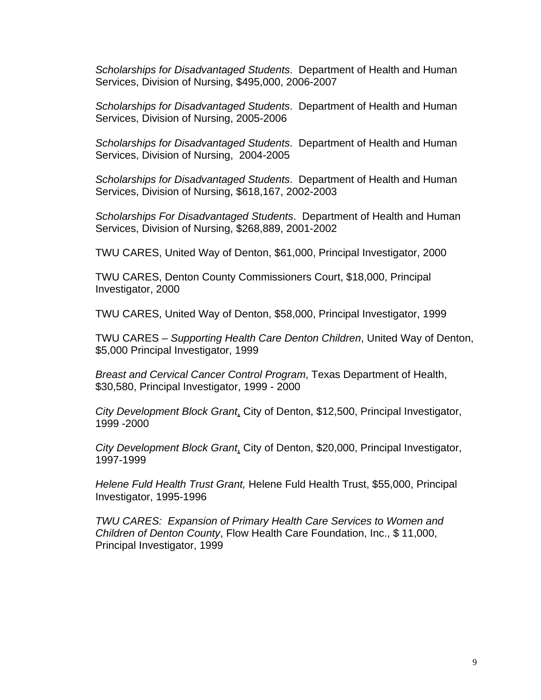*Scholarships for Disadvantaged Students*. Department of Health and Human Services, Division of Nursing, \$495,000, 2006-2007

*Scholarships for Disadvantaged Students*. Department of Health and Human Services, Division of Nursing, 2005-2006

*Scholarships for Disadvantaged Students*. Department of Health and Human Services, Division of Nursing, 2004-2005

*Scholarships for Disadvantaged Students*. Department of Health and Human Services, Division of Nursing, \$618,167, 2002-2003

*Scholarships For Disadvantaged Students*. Department of Health and Human Services, Division of Nursing, \$268,889, 2001-2002

TWU CARES, United Way of Denton, \$61,000, Principal Investigator, 2000

 TWU CARES, Denton County Commissioners Court, \$18,000, Principal Investigator, 2000

TWU CARES, United Way of Denton, \$58,000, Principal Investigator, 1999

 TWU CARES – *Supporting Health Care Denton Children*, United Way of Denton, \$5,000 Principal Investigator, 1999

*Breast and Cervical Cancer Control Program*, Texas Department of Health, \$30,580, Principal Investigator, 1999 - 2000

*City Development Block Grant*, City of Denton, \$12,500, Principal Investigator, 1999 -2000

*City Development Block Grant*, City of Denton, \$20,000, Principal Investigator, 1997-1999

*Helene Fuld Health Trust Grant,* Helene Fuld Health Trust, \$55,000, Principal Investigator, 1995-1996

*TWU CARES: Expansion of Primary Health Care Services to Women and Children of Denton County*, Flow Health Care Foundation, Inc., \$ 11,000, Principal Investigator, 1999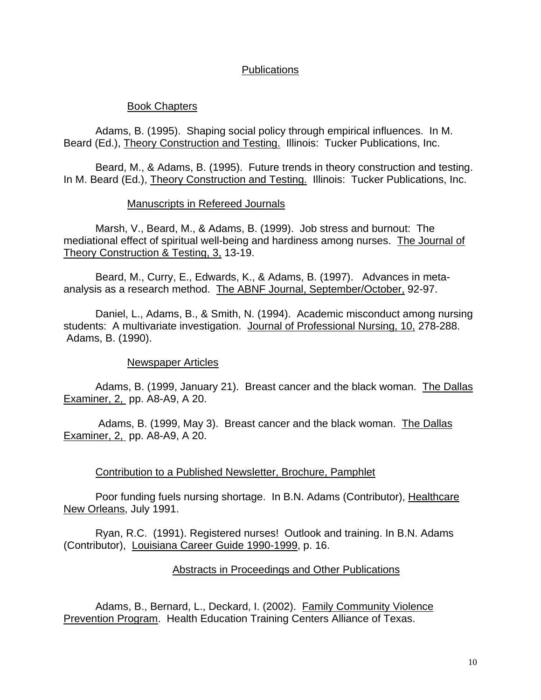# **Publications**

#### Book Chapters

Adams, B. (1995). Shaping social policy through empirical influences. In M. Beard (Ed.), Theory Construction and Testing. Illinois: Tucker Publications, Inc.

 Beard, M., & Adams, B. (1995). Future trends in theory construction and testing. In M. Beard (Ed.), Theory Construction and Testing. Illinois: Tucker Publications, Inc.

#### Manuscripts in Refereed Journals

Marsh, V., Beard, M., & Adams, B. (1999). Job stress and burnout: The mediational effect of spiritual well-being and hardiness among nurses. The Journal of Theory Construction & Testing, 3, 13-19.

Beard, M., Curry, E., Edwards, K., & Adams, B. (1997). Advances in metaanalysis as a research method. The ABNF Journal, September/October, 92-97.

Daniel, L., Adams, B., & Smith, N. (1994). Academic misconduct among nursing students: A multivariate investigation. Journal of Professional Nursing, 10, 278-288. Adams, B. (1990).

#### Newspaper Articles

Adams, B. (1999, January 21). Breast cancer and the black woman. The Dallas Examiner, 2, pp. A8-A9, A 20.

 Adams, B. (1999, May 3). Breast cancer and the black woman. The Dallas Examiner, 2, pp. A8-A9, A 20.

#### Contribution to a Published Newsletter, Brochure, Pamphlet

 Poor funding fuels nursing shortage. In B.N. Adams (Contributor), Healthcare New Orleans, July 1991.

 Ryan, R.C. (1991). Registered nurses! Outlook and training. In B.N. Adams (Contributor), Louisiana Career Guide 1990-1999, p. 16.

#### Abstracts in Proceedings and Other Publications

 Adams, B., Bernard, L., Deckard, I. (2002). Family Community Violence Prevention Program. Health Education Training Centers Alliance of Texas.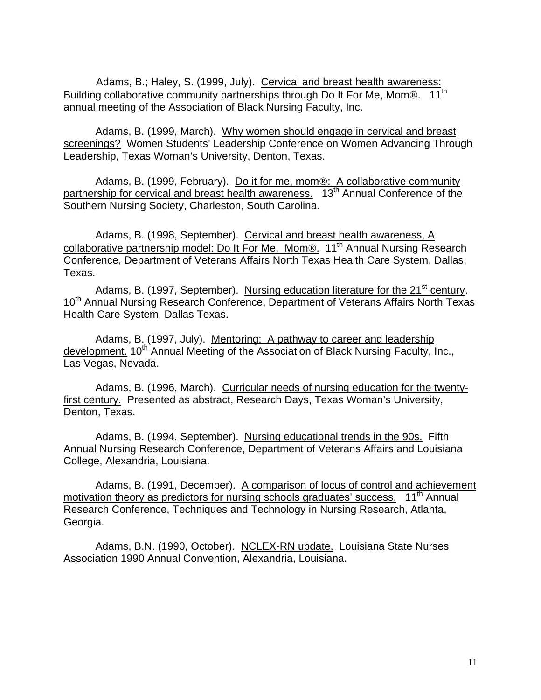Adams, B.; Haley, S. (1999, July). Cervical and breast health awareness:<br>g collaborative community partnerships through Do It For Me. Mom® 11<sup>th</sup> Building collaborative community partnerships through Do It For Me, Mom<sup>®</sup>. annual meeting of the Association of Black Nursing Faculty, Inc.

Adams, B. (1999, March). Why women should engage in cervical and breast screenings? Women Students' Leadership Conference on Women Advancing Through Leadership, Texas Woman's University, Denton, Texas.

Adams, B. (1999, February). Do it for me, mom®: A collaborative community partnership for cervical and breast health awareness. 13<sup>th</sup> Annual Conference of the Southern Nursing Society, Charleston, South Carolina.

Adams, B. (1998, September). Cervical and breast health awareness, A collaborative partnership model: Do It For Me, Mom®.  $11<sup>th</sup>$  Annual Nursing Research Conference, Department of Veterans Affairs North Texas Health Care System, Dallas, Texas.

Adams, B. (1997, September). Nursing education literature for the 21<sup>st</sup> century. 10<sup>th</sup> Annual Nursing Research Conference, Department of Veterans Affairs North Texas Health Care System, Dallas Texas.

Adams, B. (1997, July). Mentoring: A pathway to career and leadership development. 10<sup>th</sup> Annual Meeting of the Association of Black Nursing Faculty, Inc., Las Vegas, Nevada.

Adams, B. (1996, March). Curricular needs of nursing education for the twentyfirst century. Presented as abstract, Research Days, Texas Woman's University, Denton, Texas.

 Adams, B. (1994, September). Nursing educational trends in the 90s. Fifth Annual Nursing Research Conference, Department of Veterans Affairs and Louisiana College, Alexandria, Louisiana.

 Adams, B. (1991, December). A comparison of locus of control and achievement motivation theory as predictors for nursing schools graduates' success. 11<sup>th</sup> Annual Research Conference, Techniques and Technology in Nursing Research, Atlanta, Georgia.

Adams, B.N. (1990, October). NCLEX-RN update. Louisiana State Nurses Association 1990 Annual Convention, Alexandria, Louisiana.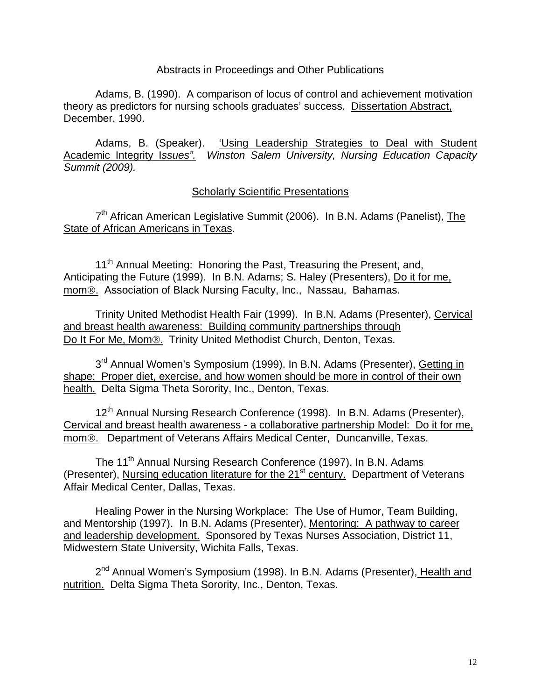#### Abstracts in Proceedings and Other Publications

Adams, B. (1990). A comparison of locus of control and achievement motivation theory as predictors for nursing schools graduates' success. Dissertation Abstract, December, 1990.

 Adams, B. (Speaker). 'Using Leadership Strategies to Deal with Student Academic Integrity I*ssues". Winston Salem University, Nursing Education Capacity Summit (2009).* 

#### Scholarly Scientific Presentations

7<sup>th</sup> African American Legislative Summit (2006). In B.N. Adams (Panelist), The State of African Americans in Texas.

11<sup>th</sup> Annual Meeting: Honoring the Past, Treasuring the Present, and, Anticipating the Future (1999). In B.N. Adams; S. Haley (Presenters), Do it for me, mom®. Association of Black Nursing Faculty, Inc., Nassau, Bahamas.

 Trinity United Methodist Health Fair (1999). In B.N. Adams (Presenter), Cervical and breast health awareness: Building community partnerships through Do It For Me, Mom®. Trinity United Methodist Church, Denton, Texas.

3<sup>rd</sup> Annual Women's Symposium (1999). In B.N. Adams (Presenter), Getting in shape: Proper diet, exercise, and how women should be more in control of their own health. Delta Sigma Theta Sorority, Inc., Denton, Texas.

12<sup>th</sup> Annual Nursing Research Conference (1998). In B.N. Adams (Presenter), Cervical and breast health awareness - a collaborative partnership Model: Do it for me, mom®. Department of Veterans Affairs Medical Center, Duncanville, Texas.

The 11<sup>th</sup> Annual Nursing Research Conference (1997). In B.N. Adams (Presenter), Nursing education literature for the 21<sup>st</sup> century. Department of Veterans Affair Medical Center, Dallas, Texas.

 Healing Power in the Nursing Workplace: The Use of Humor, Team Building, and Mentorship (1997). In B.N. Adams (Presenter), Mentoring: A pathway to career and leadership development. Sponsored by Texas Nurses Association, District 11, Midwestern State University, Wichita Falls, Texas.

2<sup>nd</sup> Annual Women's Symposium (1998). In B.N. Adams (Presenter), Health and nutrition. Delta Sigma Theta Sorority, Inc., Denton, Texas.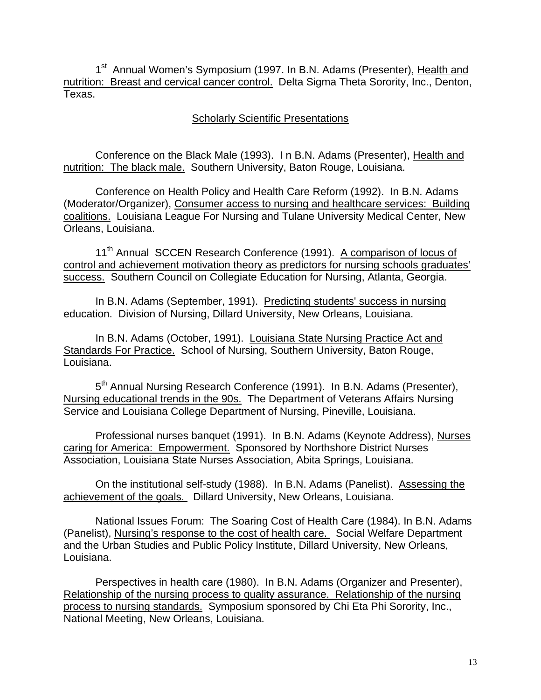1<sup>st</sup> Annual Women's Symposium (1997. In B.N. Adams (Presenter), Health and nutrition: Breast and cervical cancer control. Delta Sigma Theta Sorority, Inc., Denton, Texas.

# Scholarly Scientific Presentations

 Conference on the Black Male (1993). I n B.N. Adams (Presenter), Health and nutrition: The black male. Southern University, Baton Rouge, Louisiana.

 Conference on Health Policy and Health Care Reform (1992). In B.N. Adams (Moderator/Organizer), Consumer access to nursing and healthcare services: Building coalitions. Louisiana League For Nursing and Tulane University Medical Center, New Orleans, Louisiana.

11<sup>th</sup> Annual SCCEN Research Conference (1991). A comparison of locus of control and achievement motivation theory as predictors for nursing schools graduates' success. Southern Council on Collegiate Education for Nursing, Atlanta, Georgia.

 In B.N. Adams (September, 1991). Predicting students' success in nursing education. Division of Nursing, Dillard University, New Orleans, Louisiana.

 In B.N. Adams (October, 1991). Louisiana State Nursing Practice Act and Standards For Practice. School of Nursing, Southern University, Baton Rouge, Louisiana.

5<sup>th</sup> Annual Nursing Research Conference (1991). In B.N. Adams (Presenter), Nursing educational trends in the 90s. The Department of Veterans Affairs Nursing Service and Louisiana College Department of Nursing, Pineville, Louisiana.

 Professional nurses banquet (1991). In B.N. Adams (Keynote Address), Nurses caring for America: Empowerment. Sponsored by Northshore District Nurses Association, Louisiana State Nurses Association, Abita Springs, Louisiana.

On the institutional self-study (1988). In B.N. Adams (Panelist). Assessing the achievement of the goals. Dillard University, New Orleans, Louisiana.

 National Issues Forum: The Soaring Cost of Health Care (1984). In B.N. Adams (Panelist), Nursing's response to the cost of health care. Social Welfare Department and the Urban Studies and Public Policy Institute, Dillard University, New Orleans, Louisiana.

 Perspectives in health care (1980). In B.N. Adams (Organizer and Presenter), Relationship of the nursing process to quality assurance. Relationship of the nursing process to nursing standards. Symposium sponsored by Chi Eta Phi Sorority, Inc., National Meeting, New Orleans, Louisiana.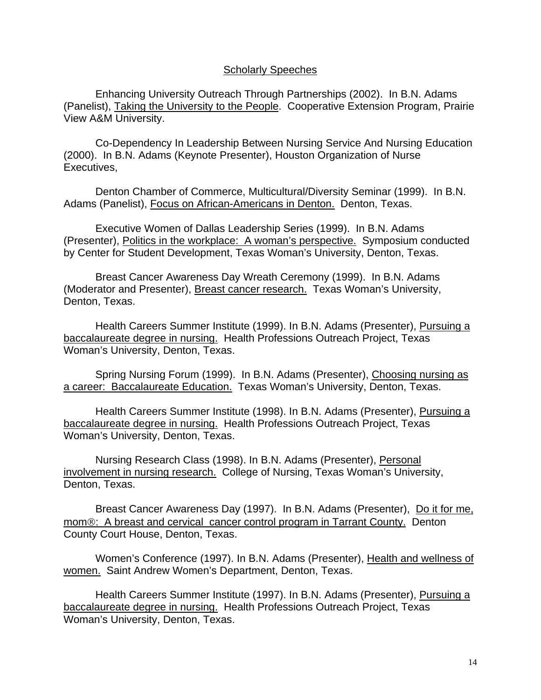Enhancing University Outreach Through Partnerships (2002). In B.N. Adams (Panelist), Taking the University to the People. Cooperative Extension Program, Prairie View A&M University.

 Co-Dependency In Leadership Between Nursing Service And Nursing Education (2000). In B.N. Adams (Keynote Presenter), Houston Organization of Nurse Executives,

 Denton Chamber of Commerce, Multicultural/Diversity Seminar (1999). In B.N. Adams (Panelist), Focus on African-Americans in Denton. Denton, Texas.

 Executive Women of Dallas Leadership Series (1999). In B.N. Adams (Presenter), Politics in the workplace: A woman's perspective. Symposium conducted by Center for Student Development, Texas Woman's University, Denton, Texas.

 Breast Cancer Awareness Day Wreath Ceremony (1999). In B.N. Adams (Moderator and Presenter), Breast cancer research. Texas Woman's University, Denton, Texas.

 Health Careers Summer Institute (1999). In B.N. Adams (Presenter), Pursuing a baccalaureate degree in nursing. Health Professions Outreach Project, Texas Woman's University, Denton, Texas.

 Spring Nursing Forum (1999). In B.N. Adams (Presenter), Choosing nursing as a career: Baccalaureate Education. Texas Woman's University, Denton, Texas.

 Health Careers Summer Institute (1998). In B.N. Adams (Presenter), Pursuing a baccalaureate degree in nursing. Health Professions Outreach Project, Texas Woman's University, Denton, Texas.

 Nursing Research Class (1998). In B.N. Adams (Presenter), Personal involvement in nursing research. College of Nursing, Texas Woman's University, Denton, Texas.

Breast Cancer Awareness Day (1997). In B.N. Adams (Presenter), Do it for me, mom®: A breast and cervical cancer control program in Tarrant County. Denton County Court House, Denton, Texas.

Women's Conference (1997). In B.N. Adams (Presenter), Health and wellness of women. Saint Andrew Women's Department, Denton, Texas.

Health Careers Summer Institute (1997). In B.N. Adams (Presenter), Pursuing a baccalaureate degree in nursing. Health Professions Outreach Project, Texas Woman's University, Denton, Texas.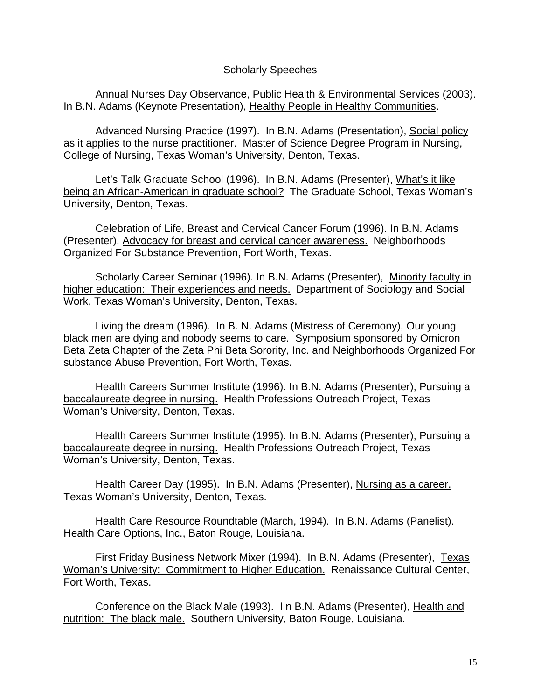Annual Nurses Day Observance, Public Health & Environmental Services (2003). In B.N. Adams (Keynote Presentation), Healthy People in Healthy Communities.

 Advanced Nursing Practice (1997). In B.N. Adams (Presentation), Social policy as it applies to the nurse practitioner. Master of Science Degree Program in Nursing, College of Nursing, Texas Woman's University, Denton, Texas.

 Let's Talk Graduate School (1996). In B.N. Adams (Presenter), What's it like being an African-American in graduate school? The Graduate School, Texas Woman's University, Denton, Texas.

 Celebration of Life, Breast and Cervical Cancer Forum (1996). In B.N. Adams (Presenter), Advocacy for breast and cervical cancer awareness. Neighborhoods Organized For Substance Prevention, Fort Worth, Texas.

 Scholarly Career Seminar (1996). In B.N. Adams (Presenter), Minority faculty in higher education: Their experiences and needs. Department of Sociology and Social Work, Texas Woman's University, Denton, Texas.

 Living the dream (1996). In B. N. Adams (Mistress of Ceremony), Our young black men are dying and nobody seems to care. Symposium sponsored by Omicron Beta Zeta Chapter of the Zeta Phi Beta Sorority, Inc. and Neighborhoods Organized For substance Abuse Prevention, Fort Worth, Texas.

 Health Careers Summer Institute (1996). In B.N. Adams (Presenter), Pursuing a baccalaureate degree in nursing. Health Professions Outreach Project, Texas Woman's University, Denton, Texas.

 Health Careers Summer Institute (1995). In B.N. Adams (Presenter), Pursuing a baccalaureate degree in nursing. Health Professions Outreach Project, Texas Woman's University, Denton, Texas.

 Health Career Day (1995). In B.N. Adams (Presenter), Nursing as a career. Texas Woman's University, Denton, Texas.

 Health Care Resource Roundtable (March, 1994). In B.N. Adams (Panelist). Health Care Options, Inc., Baton Rouge, Louisiana.

 First Friday Business Network Mixer (1994). In B.N. Adams (Presenter), Texas Woman's University: Commitment to Higher Education. Renaissance Cultural Center, Fort Worth, Texas.

 Conference on the Black Male (1993). I n B.N. Adams (Presenter), Health and nutrition: The black male. Southern University, Baton Rouge, Louisiana.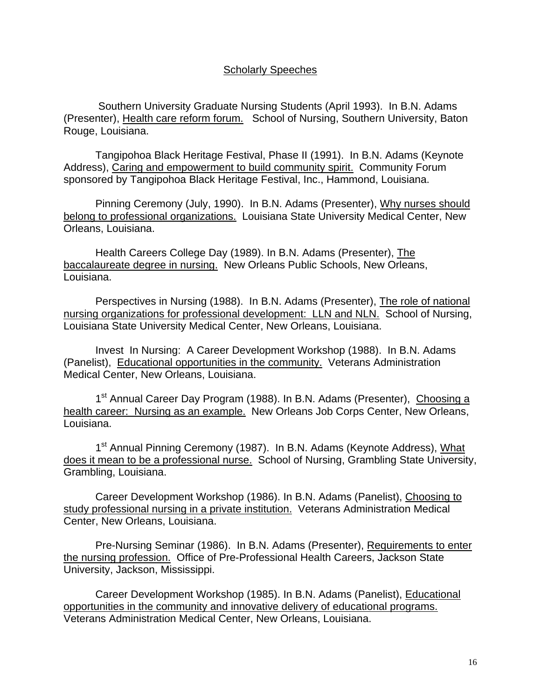Southern University Graduate Nursing Students (April 1993). In B.N. Adams (Presenter), Health care reform forum. School of Nursing, Southern University, Baton Rouge, Louisiana.

Tangipohoa Black Heritage Festival, Phase II (1991). In B.N. Adams (Keynote Address), Caring and empowerment to build community spirit. Community Forum sponsored by Tangipohoa Black Heritage Festival, Inc., Hammond, Louisiana.

 Pinning Ceremony (July, 1990). In B.N. Adams (Presenter), Why nurses should belong to professional organizations. Louisiana State University Medical Center, New Orleans, Louisiana.

 Health Careers College Day (1989). In B.N. Adams (Presenter), The baccalaureate degree in nursing. New Orleans Public Schools, New Orleans, Louisiana.

 Perspectives in Nursing (1988). In B.N. Adams (Presenter), The role of national nursing organizations for professional development: LLN and NLN. School of Nursing, Louisiana State University Medical Center, New Orleans, Louisiana.

 Invest In Nursing: A Career Development Workshop (1988). In B.N. Adams (Panelist), Educational opportunities in the community. Veterans Administration Medical Center, New Orleans, Louisiana.

1<sup>st</sup> Annual Career Day Program (1988). In B.N. Adams (Presenter), Choosing a health career: Nursing as an example. New Orleans Job Corps Center, New Orleans, Louisiana.

1<sup>st</sup> Annual Pinning Ceremony (1987). In B.N. Adams (Keynote Address), What does it mean to be a professional nurse. School of Nursing, Grambling State University, Grambling, Louisiana.

 Career Development Workshop (1986). In B.N. Adams (Panelist), Choosing to study professional nursing in a private institution. Veterans Administration Medical Center, New Orleans, Louisiana.

 Pre-Nursing Seminar (1986). In B.N. Adams (Presenter), Requirements to enter the nursing profession. Office of Pre-Professional Health Careers, Jackson State University, Jackson, Mississippi.

 Career Development Workshop (1985). In B.N. Adams (Panelist), Educational opportunities in the community and innovative delivery of educational programs. Veterans Administration Medical Center, New Orleans, Louisiana.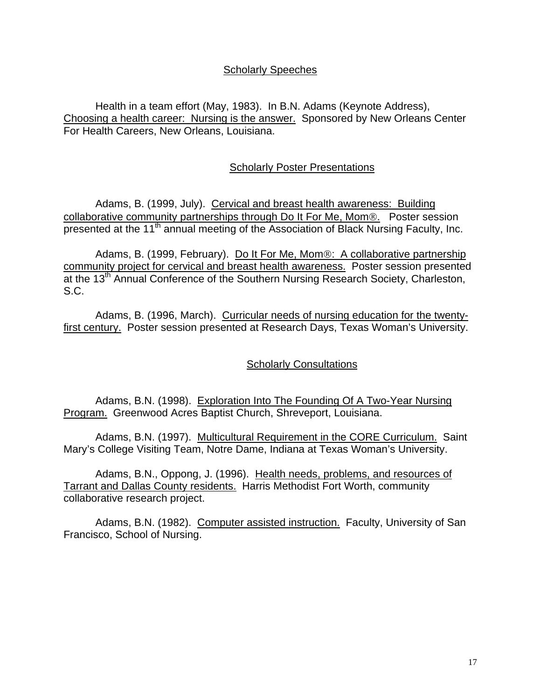Health in a team effort (May, 1983). In B.N. Adams (Keynote Address), Choosing a health career: Nursing is the answer. Sponsored by New Orleans Center For Health Careers, New Orleans, Louisiana.

# Scholarly Poster Presentations

Adams, B. (1999, July). Cervical and breast health awareness: Building collaborative community partnerships through Do It For Me, Mom®. Poster session presented at the 11<sup>th</sup> annual meeting of the Association of Black Nursing Faculty, Inc.

 Adams, B. (1999, February). Do It For Me, Mom®: A collaborative partnership community project for cervical and breast health awareness. Poster session presented at the 13<sup>th</sup> Annual Conference of the Southern Nursing Research Society, Charleston, S.C.

 Adams, B. (1996, March). Curricular needs of nursing education for the twentyfirst century. Poster session presented at Research Days, Texas Woman's University.

#### **Scholarly Consultations**

Adams, B.N. (1998). Exploration Into The Founding Of A Two-Year Nursing Program. Greenwood Acres Baptist Church, Shreveport, Louisiana.

Adams, B.N. (1997). Multicultural Requirement in the CORE Curriculum. Saint Mary's College Visiting Team, Notre Dame, Indiana at Texas Woman's University.

Adams, B.N., Oppong, J. (1996). Health needs, problems, and resources of Tarrant and Dallas County residents. Harris Methodist Fort Worth, community collaborative research project.

 Adams, B.N. (1982). Computer assisted instruction. Faculty, University of San Francisco, School of Nursing.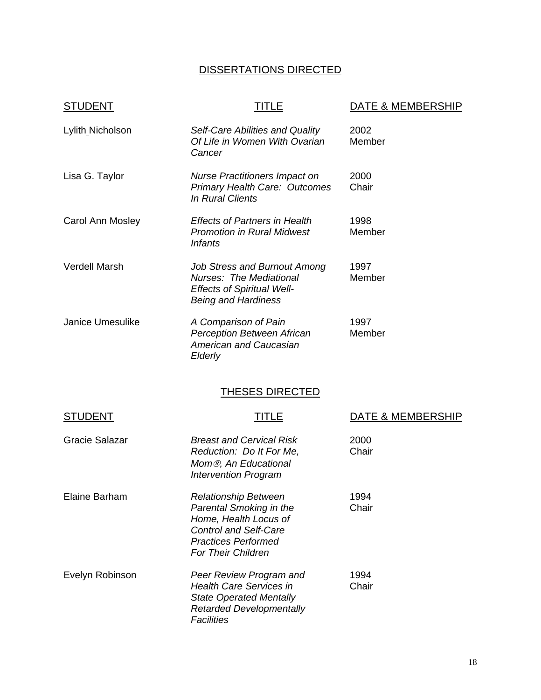# DISSERTATIONS DIRECTED

| <u>STUDENT</u>          | TITLE                                                                                                                                                                      | <b>DATE &amp; MEMBERSHIP</b> |
|-------------------------|----------------------------------------------------------------------------------------------------------------------------------------------------------------------------|------------------------------|
| Lylith_Nicholson        | Self-Care Abilities and Quality<br>Of Life in Women With Ovarian<br>Cancer                                                                                                 | 2002<br>Member               |
| Lisa G. Taylor          | <b>Nurse Practitioners Impact on</b><br><b>Primary Health Care: Outcomes</b><br><b>In Rural Clients</b>                                                                    | 2000<br>Chair                |
| Carol Ann Mosley        | <b>Effects of Partners in Health</b><br><b>Promotion in Rural Midwest</b><br><b>Infants</b>                                                                                | 1998<br>Member               |
| <b>Verdell Marsh</b>    | <b>Job Stress and Burnout Among</b><br>Nurses: The Mediational<br><b>Effects of Spiritual Well-</b><br><b>Being and Hardiness</b>                                          | 1997<br>Member               |
| <b>Janice Umesulike</b> | A Comparison of Pain<br>Perception Between African<br><b>American and Caucasian</b><br>Elderly                                                                             | 1997<br>Member               |
|                         | <b>THESES DIRECTED</b>                                                                                                                                                     |                              |
| <b>STUDENT</b>          | TITLE                                                                                                                                                                      | DATE & MEMBERSHIP            |
| <b>Gracie Salazar</b>   | <b>Breast and Cervical Risk</b><br>Reduction: Do It For Me,<br>Mom <sup>®</sup> , An Educational<br><b>Intervention Program</b>                                            | 2000<br>Chair                |
| <b>Elaine Barham</b>    | Relationship Between<br><b>Parental Smoking in the</b><br>Home, Health Locus of<br><b>Control and Self-Care</b><br><b>Practices Performed</b><br><b>For Their Children</b> | 1994<br>Chair                |
| Evelyn Robinson         | Peer Review Program and<br><b>Health Care Services in</b><br><b>State Operated Mentally</b>                                                                                | 1994<br>Chair                |

 *Retarded Developmentally* 

*Facilities Facilities*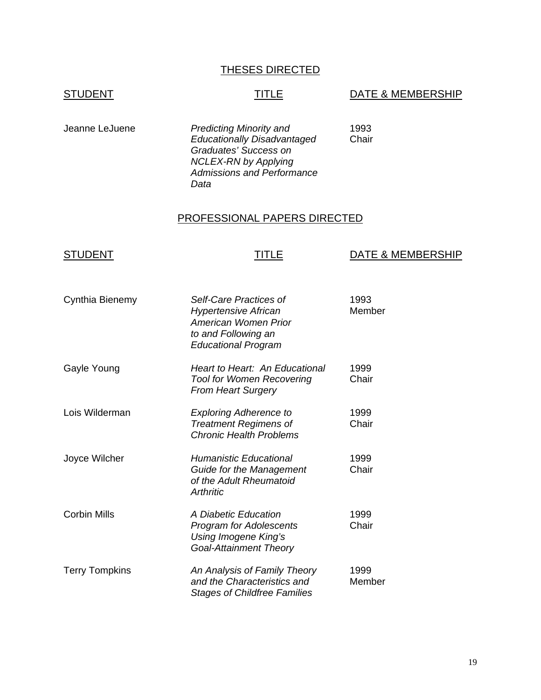# THESES DIRECTED

# STUDENT STUDENT TITLE DATE & MEMBERSHIP

Jeanne LeJuene *Predicting Minority and* 1993 *Educationally Disadvantaged Graduates' Success on NCLEX-RN by Applying Admissions and Performance Data* 

#### PROFESSIONAL PAPERS DIRECTED

| <b>STUDENT</b>        | TITLE                                                                                                                              | <b>DATE &amp; MEMBERSHIP</b> |
|-----------------------|------------------------------------------------------------------------------------------------------------------------------------|------------------------------|
| Cynthia Bienemy       | Self-Care Practices of<br><b>Hypertensive African</b><br>American Women Prior<br>to and Following an<br><b>Educational Program</b> | 1993<br>Member               |
| Gayle Young           | Heart to Heart: An Educational<br><b>Tool for Women Recovering</b><br><b>From Heart Surgery</b>                                    | 1999<br>Chair                |
| Lois Wilderman        | <b>Exploring Adherence to</b><br><b>Treatment Regimens of</b><br><b>Chronic Health Problems</b>                                    | 1999<br>Chair                |
| Joyce Wilcher         | <b>Humanistic Educational</b><br>Guide for the Management<br>of the Adult Rheumatoid<br><b>Arthritic</b>                           | 1999<br>Chair                |
| <b>Corbin Mills</b>   | A Diabetic Education<br><b>Program for Adolescents</b><br>Using Imogene King's<br><b>Goal-Attainment Theory</b>                    | 1999<br>Chair                |
| <b>Terry Tompkins</b> | An Analysis of Family Theory<br>and the Characteristics and<br><b>Stages of Childfree Families</b>                                 | 1999<br>Member               |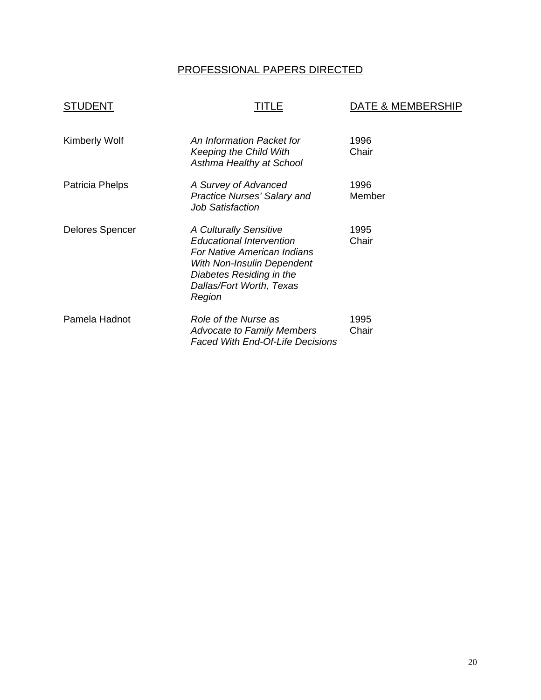# PROFESSIONAL PAPERS DIRECTED

| <b>STUDENT</b>         | TITLE                                                                                                                                                                                    | DATE & MEMBERSHIP |
|------------------------|------------------------------------------------------------------------------------------------------------------------------------------------------------------------------------------|-------------------|
| <b>Kimberly Wolf</b>   | An Information Packet for<br><b>Keeping the Child With</b><br>Asthma Healthy at School                                                                                                   | 1996<br>Chair     |
| Patricia Phelps        | A Survey of Advanced<br><b>Practice Nurses' Salary and</b><br><b>Job Satisfaction</b>                                                                                                    | 1996<br>Member    |
| <b>Delores Spencer</b> | A Culturally Sensitive<br><b>Educational Intervention</b><br>For Native American Indians<br>With Non-Insulin Dependent<br>Diabetes Residing in the<br>Dallas/Fort Worth, Texas<br>Region | 1995<br>Chair     |
| Pamela Hadnot          | Role of the Nurse as<br><b>Advocate to Family Members</b><br><b>Faced With End-Of-Life Decisions</b>                                                                                     | 1995<br>Chair     |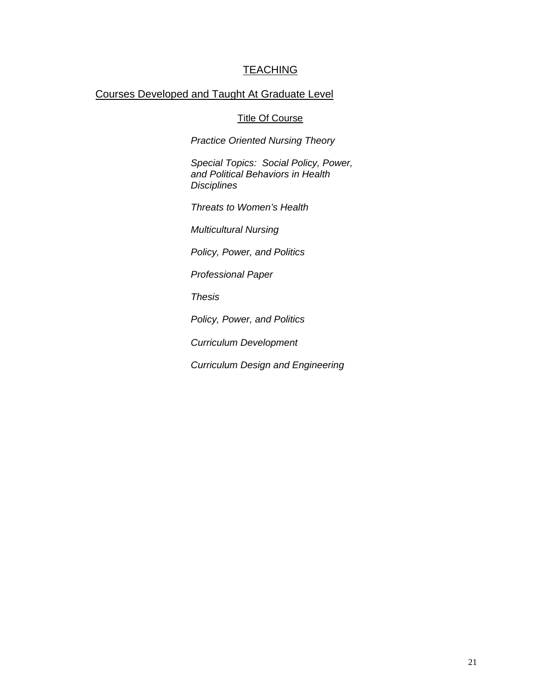# **TEACHING**

# Courses Developed and Taught At Graduate Level

#### Title Of Course

*Practice Oriented Nursing Theory* 

*Special Topics: Social Policy, Power, and Political Behaviors in Health Disciplines* 

*Threats to Women's Health*

*Multicultural Nursing*

*Policy, Power, and Politics*

*Professional Paper*

*Thesis*

*Policy, Power, and Politics* 

*Curriculum Development* 

*Curriculum Design and Engineering*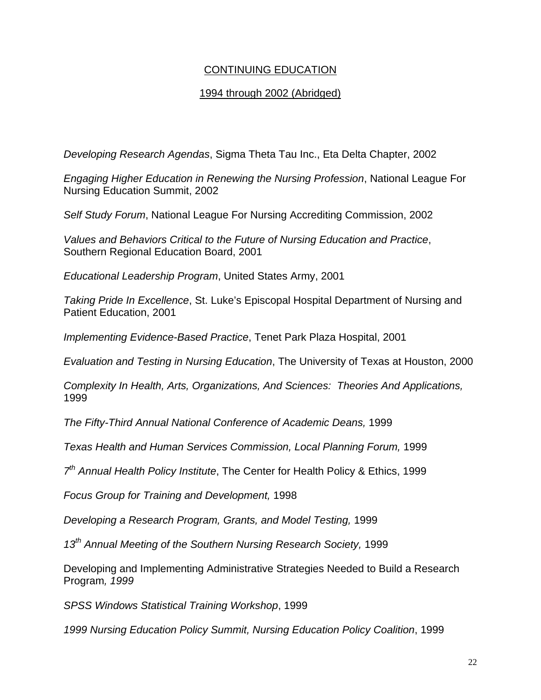# CONTINUING EDUCATION

# 1994 through 2002 (Abridged)

*Developing Research Agendas*, Sigma Theta Tau Inc., Eta Delta Chapter, 2002

*Engaging Higher Education in Renewing the Nursing Profession*, National League For Nursing Education Summit, 2002

*Self Study Forum*, National League For Nursing Accrediting Commission, 2002

*Values and Behaviors Critical to the Future of Nursing Education and Practice*, Southern Regional Education Board, 2001

*Educational Leadership Program*, United States Army, 2001

*Taking Pride In Excellence*, St. Luke's Episcopal Hospital Department of Nursing and Patient Education, 2001

*Implementing Evidence-Based Practice*, Tenet Park Plaza Hospital, 2001

*Evaluation and Testing in Nursing Education*, The University of Texas at Houston, 2000

*Complexity In Health, Arts, Organizations, And Sciences: Theories And Applications,* 1999

*The Fifty-Third Annual National Conference of Academic Deans,* 1999

*Texas Health and Human Services Commission, Local Planning Forum,* 1999

*7th Annual Health Policy Institute*, The Center for Health Policy & Ethics, 1999

*Focus Group for Training and Development,* 1998

*Developing a Research Program, Grants, and Model Testing,* 1999

*13th Annual Meeting of the Southern Nursing Research Society,* 1999

Developing and Implementing Administrative Strategies Needed to Build a Research Program*, 1999* 

*SPSS Windows Statistical Training Workshop*, 1999

*1999 Nursing Education Policy Summit, Nursing Education Policy Coalition*, 1999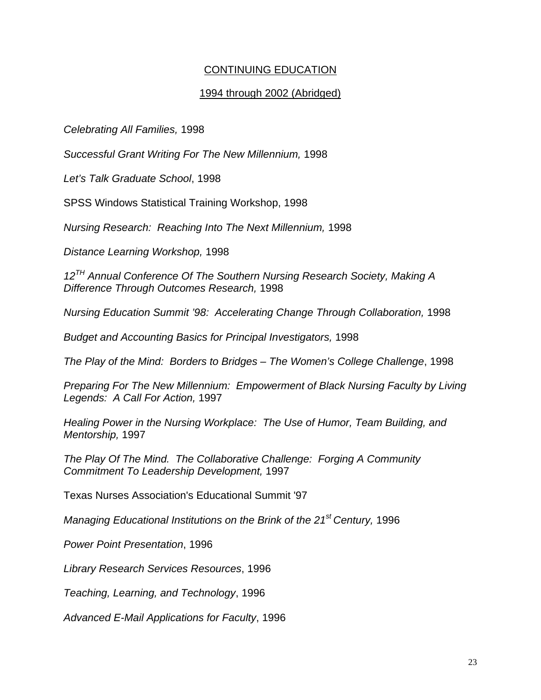# CONTINUING EDUCATION

#### 1994 through 2002 (Abridged)

*Celebrating All Families,* 1998

*Successful Grant Writing For The New Millennium,* 1998

*Let's Talk Graduate School*, 1998

SPSS Windows Statistical Training Workshop, 1998

*Nursing Research: Reaching Into The Next Millennium,* 1998

*Distance Learning Workshop,* 1998

*12TH Annual Conference Of The Southern Nursing Research Society, Making A Difference Through Outcomes Research,* 1998

*Nursing Education Summit '98: Accelerating Change Through Collaboration,* 1998

*Budget and Accounting Basics for Principal Investigators,* 1998

*The Play of the Mind: Borders to Bridges – The Women's College Challenge*, 1998

*Preparing For The New Millennium: Empowerment of Black Nursing Faculty by Living Legends: A Call For Action,* 1997

*Healing Power in the Nursing Workplace: The Use of Humor, Team Building, and Mentorship,* 1997

*The Play Of The Mind. The Collaborative Challenge: Forging A Community Commitment To Leadership Development,* 1997

Texas Nurses Association's Educational Summit '97

*Managing Educational Institutions on the Brink of the 21st Century,* 1996

*Power Point Presentation*, 1996

*Library Research Services Resources*, 1996

*Teaching, Learning, and Technology*, 1996

*Advanced E-Mail Applications for Faculty*, 1996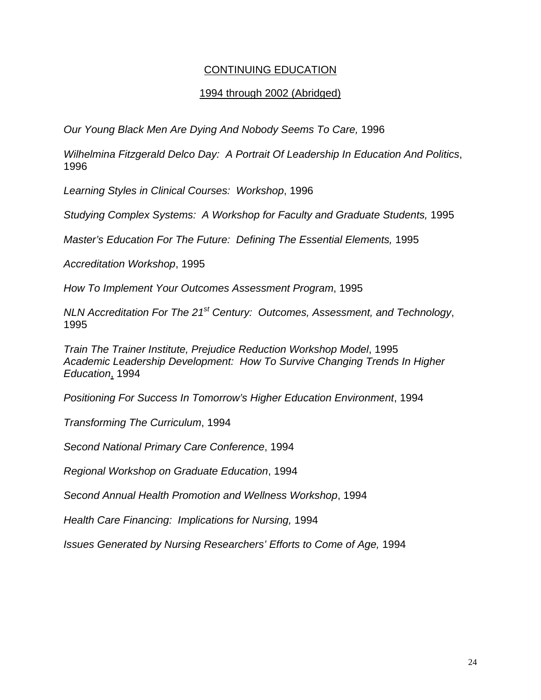# CONTINUING EDUCATION

#### 1994 through 2002 (Abridged)

*Our Young Black Men Are Dying And Nobody Seems To Care,* 1996

*Wilhelmina Fitzgerald Delco Day: A Portrait Of Leadership In Education And Politics*, 1996

*Learning Styles in Clinical Courses: Workshop*, 1996

*Studying Complex Systems: A Workshop for Faculty and Graduate Students,* 1995

*Master's Education For The Future: Defining The Essential Elements,* 1995

*Accreditation Workshop*, 1995

*How To Implement Your Outcomes Assessment Program*, 1995

*NLN Accreditation For The 21st Century: Outcomes, Assessment, and Technology*, 1995

*Train The Trainer Institute, Prejudice Reduction Workshop Model*, 1995 *Academic Leadership Development: How To Survive Changing Trends In Higher Education*, 1994

*Positioning For Success In Tomorrow's Higher Education Environment*, 1994

*Transforming The Curriculum*, 1994

*Second National Primary Care Conference*, 1994

*Regional Workshop on Graduate Education*, 1994

*Second Annual Health Promotion and Wellness Workshop*, 1994

*Health Care Financing: Implications for Nursing,* 1994

*Issues Generated by Nursing Researchers' Efforts to Come of Age,* 1994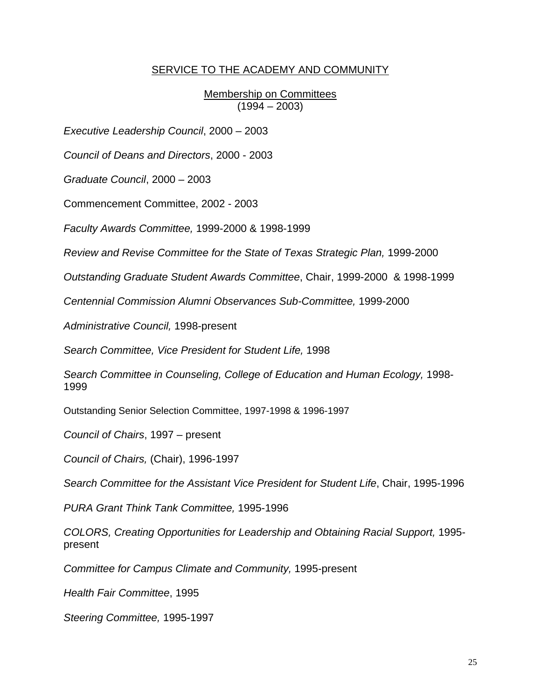#### SERVICE TO THE ACADEMY AND COMMUNITY

Membership on Committees  $(1994 - 2003)$ 

*Executive Leadership Council*, 2000 – 2003

*Council of Deans and Directors*, 2000 - 2003

*Graduate Council*, 2000 – 2003

Commencement Committee, 2002 - 2003

*Faculty Awards Committee,* 1999-2000 & 1998-1999

*Review and Revise Committee for the State of Texas Strategic Plan,* 1999-2000

*Outstanding Graduate Student Awards Committee*, Chair, 1999-2000 & 1998-1999

*Centennial Commission Alumni Observances Sub-Committee,* 1999-2000

*Administrative Council,* 1998-present

*Search Committee, Vice President for Student Life,* 1998

*Search Committee in Counseling, College of Education and Human Ecology,* 1998- 1999

Outstanding Senior Selection Committee, 1997-1998 & 1996-1997

*Council of Chairs*, 1997 – present

*Council of Chairs,* (Chair), 1996-1997

*Search Committee for the Assistant Vice President for Student Life*, Chair, 1995-1996

*PURA Grant Think Tank Committee,* 1995-1996

*COLORS, Creating Opportunities for Leadership and Obtaining Racial Support,* 1995 present

*Committee for Campus Climate and Community,* 1995-present

*Health Fair Committee*, 1995

*Steering Committee,* 1995-1997